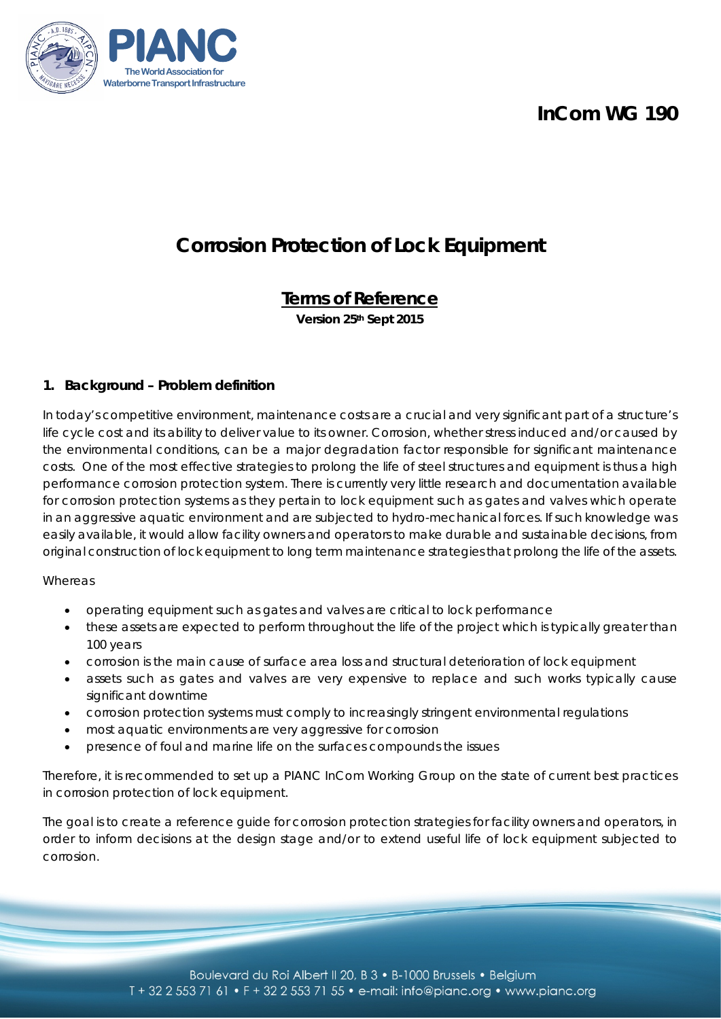## **InCom WG 190**



# **Corrosion Protection of Lock Equipment**

## **Terms of Reference**

**Version 25th Sept 2015**

#### **1. Background – Problem definition**

In today's competitive environment, maintenance costs are a crucial and very significant part of a structure's life cycle cost and its ability to deliver value to its owner. Corrosion, whether stress induced and/or caused by the environmental conditions, can be a major degradation factor responsible for significant maintenance costs. One of the most effective strategies to prolong the life of steel structures and equipment is thus a high performance corrosion protection system. There is currently very little research and documentation available for corrosion protection systems as they pertain to lock equipment such as gates and valves which operate in an aggressive aquatic environment and are subjected to hydro-mechanical forces. If such knowledge was easily available, it would allow facility owners and operators to make durable and sustainable decisions, from original construction of lock equipment to long term maintenance strategies that prolong the life of the assets.

#### **Whereas**

- operating equipment such as gates and valves are critical to lock performance
- these assets are expected to perform throughout the life of the project which is typically greater than 100 years
- corrosion is the main cause of surface area loss and structural deterioration of lock equipment
- assets such as gates and valves are very expensive to replace and such works typically cause significant downtime
- corrosion protection systems must comply to increasingly stringent environmental regulations
- most aquatic environments are very aggressive for corrosion
- presence of foul and marine life on the surfaces compounds the issues

Therefore, it is recommended to set up a PIANC InCom Working Group on the state of current best practices in corrosion protection of lock equipment.

The goal is to create a reference guide for corrosion protection strategies for facility owners and operators, in order to inform decisions at the design stage and/or to extend useful life of lock equipment subjected to corrosion.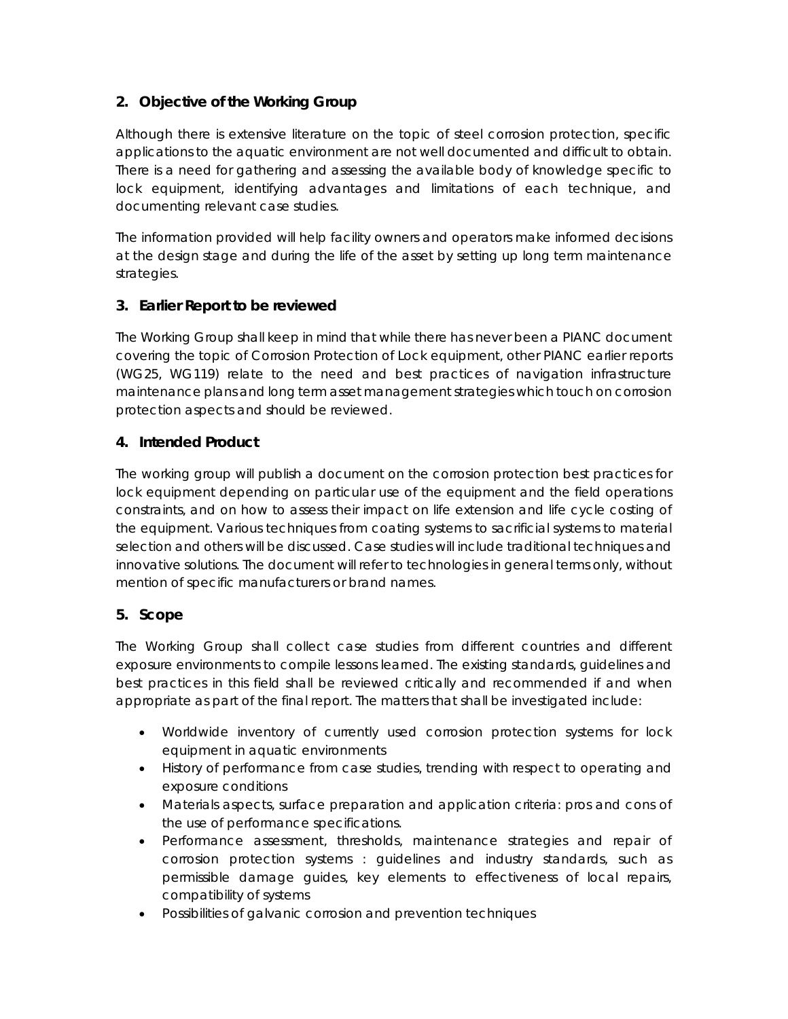## **2. Objective of the Working Group**

Although there is extensive literature on the topic of steel corrosion protection, specific applications to the aquatic environment are not well documented and difficult to obtain. There is a need for gathering and assessing the available body of knowledge specific to lock equipment, identifying advantages and limitations of each technique, and documenting relevant case studies.

The information provided will help facility owners and operators make informed decisions at the design stage and during the life of the asset by setting up long term maintenance strategies.

## **3. Earlier Report to be reviewed**

The Working Group shall keep in mind that while there has never been a PIANC document covering the topic of Corrosion Protection of Lock equipment, other PIANC earlier reports (WG25, WG119) relate to the need and best practices of navigation infrastructure maintenance plans and long term asset management strategies which touch on corrosion protection aspects and should be reviewed.

#### **4. Intended Product**

The working group will publish a document on the corrosion protection best practices for lock equipment depending on particular use of the equipment and the field operations constraints, and on how to assess their impact on life extension and life cycle costing of the equipment. Various techniques from coating systems to sacrificial systems to material selection and others will be discussed. Case studies will include traditional techniques and innovative solutions. The document will refer to technologies in general terms only, without mention of specific manufacturers or brand names.

## **5. Scope**

The Working Group shall collect case studies from different countries and different exposure environments to compile lessons learned. The existing standards, guidelines and best practices in this field shall be reviewed critically and recommended if and when appropriate as part of the final report. The matters that shall be investigated include:

- Worldwide inventory of currently used corrosion protection systems for lock equipment in aquatic environments
- History of performance from case studies, trending with respect to operating and exposure conditions
- Materials aspects, surface preparation and application criteria: pros and cons of the use of performance specifications.
- Performance assessment, thresholds, maintenance strategies and repair of corrosion protection systems : guidelines and industry standards, such as permissible damage guides, key elements to effectiveness of local repairs, compatibility of systems
- Possibilities of galvanic corrosion and prevention techniques